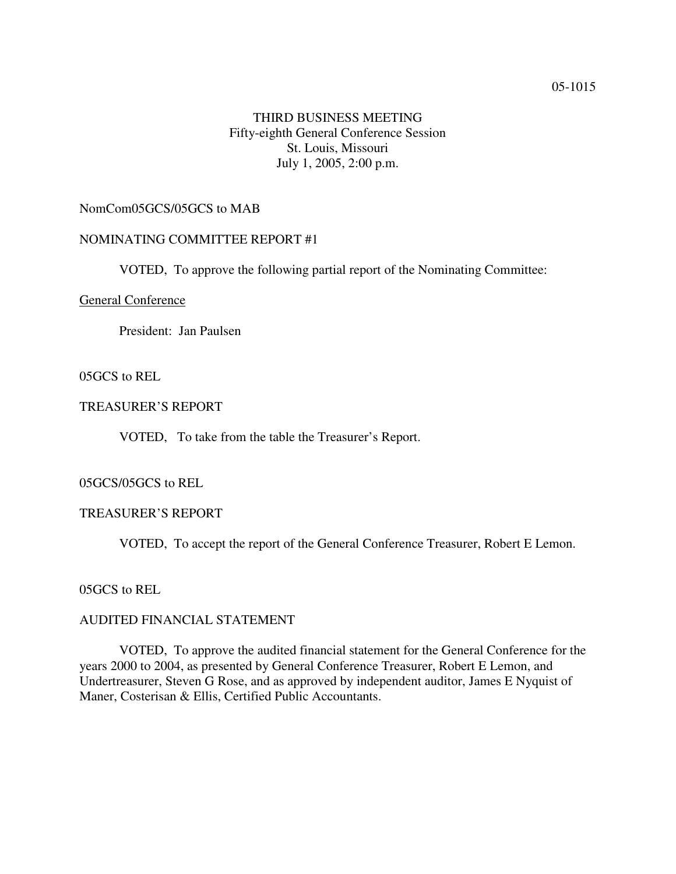### 05-1015

# THIRD BUSINESS MEETING Fifty-eighth General Conference Session St. Louis, Missouri July 1, 2005, 2:00 p.m.

# NomCom05GCS/05GCS to MAB

## NOMINATING COMMITTEE REPORT #1

VOTED, To approve the following partial report of the Nominating Committee:

### General Conference

President: Jan Paulsen

### 05GCS to REL

# TREASURER'S REPORT

VOTED, To take from the table the Treasurer's Report.

## 05GCS/05GCS to REL

#### TREASURER'S REPORT

VOTED, To accept the report of the General Conference Treasurer, Robert E Lemon.

05GCS to REL

# AUDITED FINANCIAL STATEMENT

VOTED, To approve the audited financial statement for the General Conference for the years 2000 to 2004, as presented by General Conference Treasurer, Robert E Lemon, and Undertreasurer, Steven G Rose, and as approved by independent auditor, James E Nyquist of Maner, Costerisan & Ellis, Certified Public Accountants.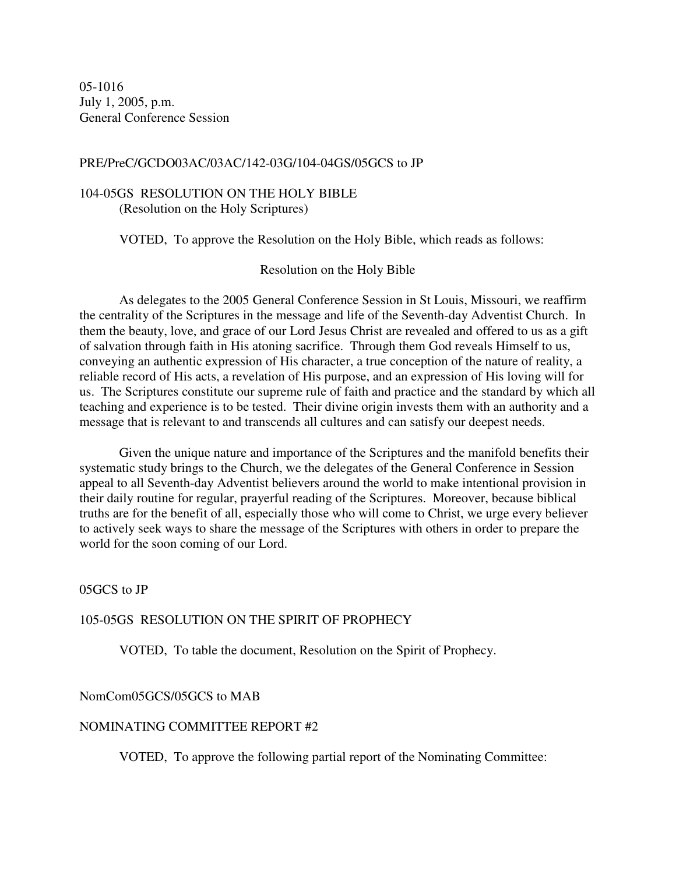05-1016 July 1, 2005, p.m. General Conference Session

### PRE/PreC/GCDO03AC/03AC/142-03G/104-04GS/05GCS to JP

## 104-05GS RESOLUTION ON THE HOLY BIBLE (Resolution on the Holy Scriptures)

VOTED, To approve the Resolution on the Holy Bible, which reads as follows:

Resolution on the Holy Bible

As delegates to the 2005 General Conference Session in St Louis, Missouri, we reaffirm the centrality of the Scriptures in the message and life of the Seventh-day Adventist Church. In them the beauty, love, and grace of our Lord Jesus Christ are revealed and offered to us as a gift of salvation through faith in His atoning sacrifice. Through them God reveals Himself to us, conveying an authentic expression of His character, a true conception of the nature of reality, a reliable record of His acts, a revelation of His purpose, and an expression of His loving will for us. The Scriptures constitute our supreme rule of faith and practice and the standard by which all teaching and experience is to be tested. Their divine origin invests them with an authority and a message that is relevant to and transcends all cultures and can satisfy our deepest needs.

Given the unique nature and importance of the Scriptures and the manifold benefits their systematic study brings to the Church, we the delegates of the General Conference in Session appeal to all Seventh-day Adventist believers around the world to make intentional provision in their daily routine for regular, prayerful reading of the Scriptures. Moreover, because biblical truths are for the benefit of all, especially those who will come to Christ, we urge every believer to actively seek ways to share the message of the Scriptures with others in order to prepare the world for the soon coming of our Lord.

05GCS to JP

# 105-05GS RESOLUTION ON THE SPIRIT OF PROPHECY

VOTED, To table the document, Resolution on the Spirit of Prophecy.

#### NomCom05GCS/05GCS to MAB

#### NOMINATING COMMITTEE REPORT #2

VOTED, To approve the following partial report of the Nominating Committee: